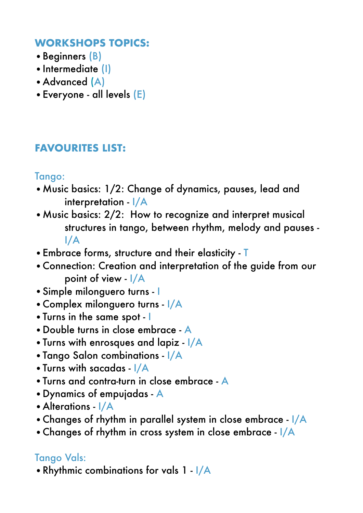#### **WORKSHOPS TOPICS:**

- Beginners (B)
- •Intermediate (I)
- •Advanced (A)
- •Everyone all levels (E)

## **FAVOURITES LIST:**

### Tango:

- •Music basics: 1/2: Change of dynamics, pauses, lead and interpretation - I/A
- •Music basics: 2/2: How to recognize and interpret musical structures in tango, between rhythm, melody and pauses - I/A
- •Embrace forms, structure and their elasticity T
- •Connection: Creation and interpretation of the guide from our point of view - I/A
- •Simple milonguero turns I
- •Complex milonguero turns I/A
- •Turns in the same spot I
- •Double turns in close embrace A
- •Turns with enrosques and lapiz I/A
- •Tango Salon combinations I/A
- •Turns with sacadas I/A
- •Turns and contra-turn in close embrace A
- •Dynamics of empujadas A
- Alterations I/A
- •Changes of rhythm in parallel system in close embrace I/A
- Changes of rhythm in cross system in close embrace I/A

## Tango Vals:

•Rhythmic combinations for vals 1 - I/A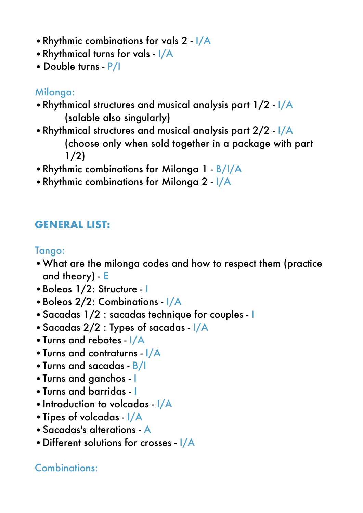- •Rhythmic combinations for vals 2 I/A
- •Rhythmical turns for vals I/A
- •Double turns P/I

### Milonaa:

- •Rhythmical structures and musical analysis part 1/2 I/A (salable also singularly)
- •Rhythmical structures and musical analysis part 2/2 I/A (choose only when sold together in a package with part 1/2)
- •Rhythmic combinations for Milonga 1 B/I/A
- •Rhythmic combinations for Milonga 2 I/A

# **GENERAL LIST:**

Tango:

- •What are the milonga codes and how to respect them (practice and theory) - E
- •Boleos 1/2: Structure I
- •Boleos 2/2: Combinations I/A
- •Sacadas 1/2 : sacadas technique for couples I
- •Sacadas 2/2 : Types of sacadas I/A
- •Turns and rebotes I/A
- •Turns and contraturns I/A
- •Turns and sacadas B/I
- •Turns and ganchos I
- •Turns and barridas I
- •Introduction to volcadas I/A
- •Tipes of volcadas I/A
- •Sacadas's alterations A
- •Different solutions for crosses I/A

# Combinations: